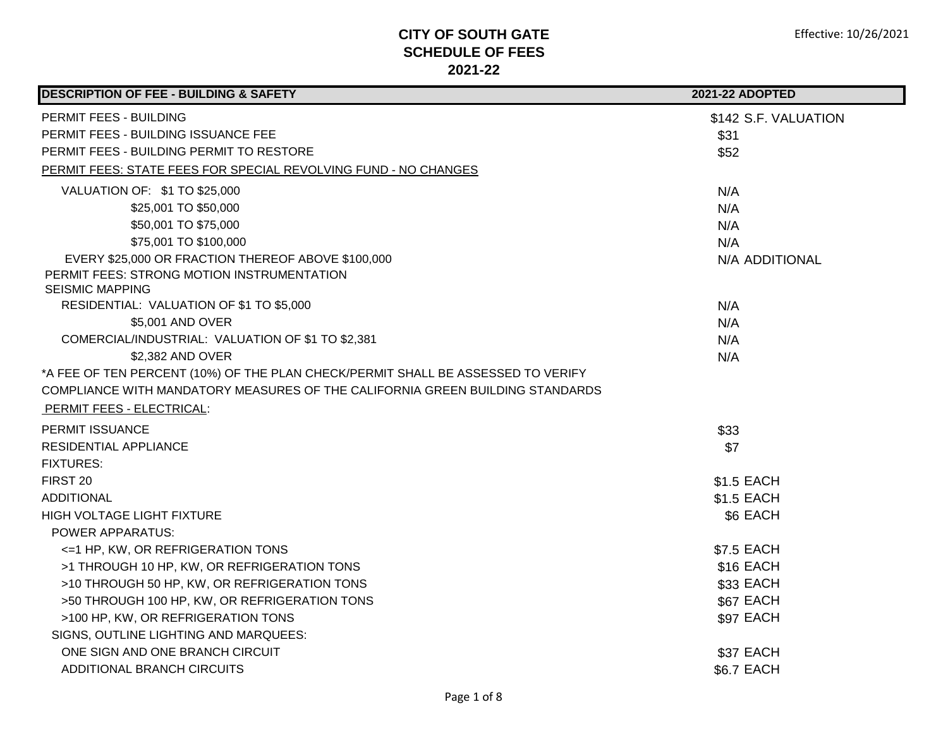| <b>DESCRIPTION OF FEE - BUILDING &amp; SAFETY</b>                                | 2021-22 ADOPTED      |
|----------------------------------------------------------------------------------|----------------------|
| PERMIT FEES - BUILDING                                                           | \$142 S.F. VALUATION |
| PERMIT FEES - BUILDING ISSUANCE FEE                                              | \$31                 |
| PERMIT FEES - BUILDING PERMIT TO RESTORE                                         | \$52                 |
| PERMIT FEES: STATE FEES FOR SPECIAL REVOLVING FUND - NO CHANGES                  |                      |
| VALUATION OF: \$1 TO \$25,000                                                    | N/A                  |
| \$25,001 TO \$50,000                                                             | N/A                  |
| \$50,001 TO \$75,000                                                             | N/A                  |
| \$75,001 TO \$100,000                                                            | N/A                  |
| EVERY \$25,000 OR FRACTION THEREOF ABOVE \$100,000                               | N/A ADDITIONAL       |
| PERMIT FEES: STRONG MOTION INSTRUMENTATION                                       |                      |
| <b>SEISMIC MAPPING</b>                                                           |                      |
| RESIDENTIAL: VALUATION OF \$1 TO \$5,000                                         | N/A                  |
| \$5,001 AND OVER                                                                 | N/A                  |
| COMERCIAL/INDUSTRIAL: VALUATION OF \$1 TO \$2,381                                | N/A                  |
| \$2,382 AND OVER                                                                 | N/A                  |
| *A FEE OF TEN PERCENT (10%) OF THE PLAN CHECK/PERMIT SHALL BE ASSESSED TO VERIFY |                      |
| COMPLIANCE WITH MANDATORY MEASURES OF THE CALIFORNIA GREEN BUILDING STANDARDS    |                      |
| <b>PERMIT FEES - ELECTRICAL:</b>                                                 |                      |
| <b>PERMIT ISSUANCE</b>                                                           | \$33                 |
| <b>RESIDENTIAL APPLIANCE</b>                                                     | \$7                  |
| <b>FIXTURES:</b>                                                                 |                      |
| FIRST <sub>20</sub>                                                              | \$1.5 EACH           |
| <b>ADDITIONAL</b>                                                                | \$1.5 EACH           |
| HIGH VOLTAGE LIGHT FIXTURE                                                       | \$6 EACH             |
| <b>POWER APPARATUS:</b>                                                          |                      |
| <= 1 HP, KW, OR REFRIGERATION TONS                                               | \$7.5 EACH           |
| >1 THROUGH 10 HP, KW, OR REFRIGERATION TONS                                      | \$16 EACH            |
| >10 THROUGH 50 HP, KW, OR REFRIGERATION TONS                                     | \$33 EACH            |
| >50 THROUGH 100 HP, KW, OR REFRIGERATION TONS                                    | \$67 EACH            |
| >100 HP, KW, OR REFRIGERATION TONS                                               | \$97 EACH            |
| SIGNS, OUTLINE LIGHTING AND MARQUEES:                                            |                      |
| ONE SIGN AND ONE BRANCH CIRCUIT                                                  | \$37 EACH            |
| ADDITIONAL BRANCH CIRCUITS                                                       | <b>\$6.7 EACH</b>    |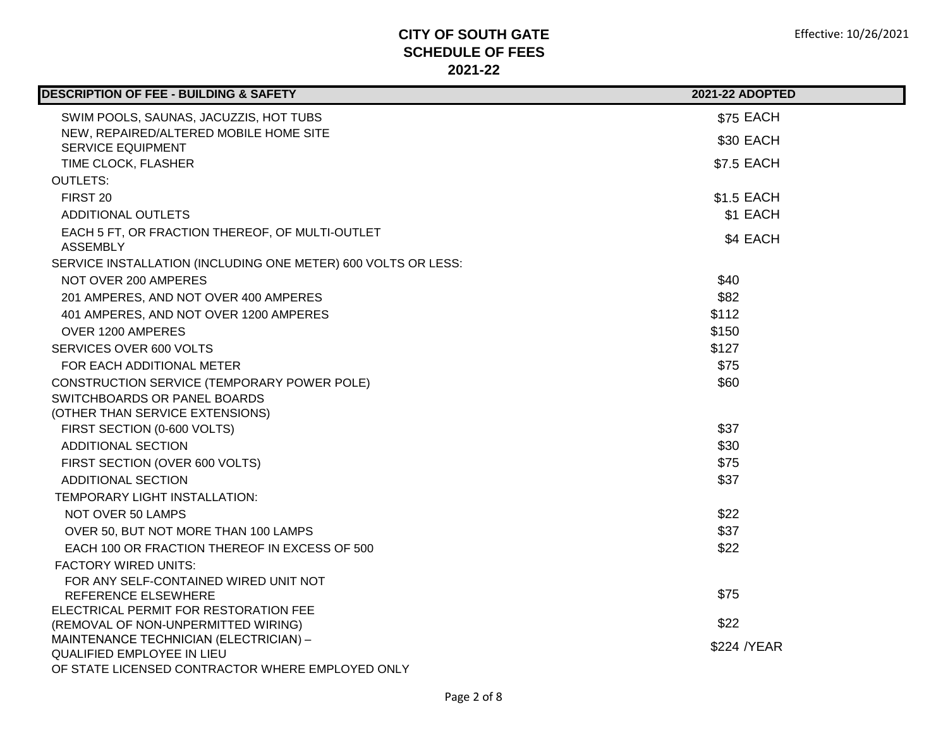| <b>DESCRIPTION OF FEE - BUILDING &amp; SAFETY</b>                  | <b>2021-22 ADOPTED</b> |
|--------------------------------------------------------------------|------------------------|
| SWIM POOLS, SAUNAS, JACUZZIS, HOT TUBS                             | \$75 EACH              |
| NEW, REPAIRED/ALTERED MOBILE HOME SITE                             | \$30 EACH              |
| <b>SERVICE EQUIPMENT</b>                                           |                        |
| TIME CLOCK, FLASHER                                                | \$7.5 EACH             |
| <b>OUTLETS:</b>                                                    |                        |
| FIRST 20                                                           | \$1.5 EACH             |
| <b>ADDITIONAL OUTLETS</b>                                          | \$1 EACH               |
| EACH 5 FT, OR FRACTION THEREOF, OF MULTI-OUTLET<br><b>ASSEMBLY</b> | \$4 EACH               |
| SERVICE INSTALLATION (INCLUDING ONE METER) 600 VOLTS OR LESS:      |                        |
| NOT OVER 200 AMPERES                                               | \$40                   |
| 201 AMPERES, AND NOT OVER 400 AMPERES                              | \$82                   |
| 401 AMPERES, AND NOT OVER 1200 AMPERES                             | \$112                  |
| OVER 1200 AMPERES                                                  | \$150                  |
| SERVICES OVER 600 VOLTS                                            | \$127                  |
| FOR EACH ADDITIONAL METER                                          | \$75                   |
| CONSTRUCTION SERVICE (TEMPORARY POWER POLE)                        | \$60                   |
| SWITCHBOARDS OR PANEL BOARDS                                       |                        |
| (OTHER THAN SERVICE EXTENSIONS)                                    |                        |
| FIRST SECTION (0-600 VOLTS)                                        | \$37                   |
| <b>ADDITIONAL SECTION</b>                                          | \$30                   |
| FIRST SECTION (OVER 600 VOLTS)                                     | \$75                   |
| <b>ADDITIONAL SECTION</b>                                          | \$37                   |
| TEMPORARY LIGHT INSTALLATION:                                      |                        |
| <b>NOT OVER 50 LAMPS</b>                                           | \$22                   |
| OVER 50, BUT NOT MORE THAN 100 LAMPS                               | \$37                   |
| EACH 100 OR FRACTION THEREOF IN EXCESS OF 500                      | \$22                   |
| <b>FACTORY WIRED UNITS:</b>                                        |                        |
| FOR ANY SELF-CONTAINED WIRED UNIT NOT                              |                        |
| <b>REFERENCE ELSEWHERE</b>                                         | \$75                   |
| ELECTRICAL PERMIT FOR RESTORATION FEE                              |                        |
| (REMOVAL OF NON-UNPERMITTED WIRING)                                | \$22                   |
| MAINTENANCE TECHNICIAN (ELECTRICIAN) -                             | \$224 / YEAR           |
| <b>QUALIFIED EMPLOYEE IN LIEU</b>                                  |                        |
| OF STATE LICENSED CONTRACTOR WHERE EMPLOYED ONLY                   |                        |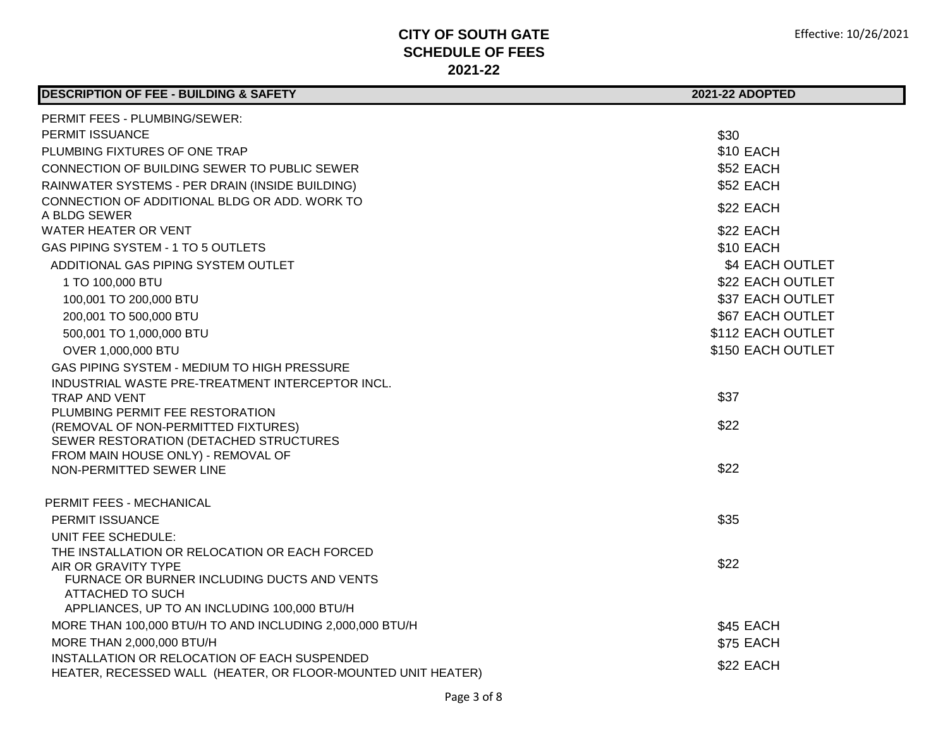J.

| <b>DESCRIPTION OF FEE - BUILDING &amp; SAFETY</b>                             | 2021-22 ADOPTED   |
|-------------------------------------------------------------------------------|-------------------|
| <b>PERMIT FEES - PLUMBING/SEWER:</b>                                          |                   |
| <b>PERMIT ISSUANCE</b>                                                        | \$30              |
| PLUMBING FIXTURES OF ONE TRAP                                                 | <b>\$10 EACH</b>  |
| CONNECTION OF BUILDING SEWER TO PUBLIC SEWER                                  | \$52 EACH         |
| RAINWATER SYSTEMS - PER DRAIN (INSIDE BUILDING)                               | <b>\$52 EACH</b>  |
| CONNECTION OF ADDITIONAL BLDG OR ADD. WORK TO                                 |                   |
| A BLDG SEWER                                                                  | \$22 EACH         |
| <b>WATER HEATER OR VENT</b>                                                   | \$22 EACH         |
| GAS PIPING SYSTEM - 1 TO 5 OUTLETS                                            | \$10 EACH         |
| ADDITIONAL GAS PIPING SYSTEM OUTLET                                           | \$4 EACH OUTLET   |
| 1 TO 100,000 BTU                                                              | \$22 EACH OUTLET  |
| 100,001 TO 200,000 BTU                                                        | \$37 EACH OUTLET  |
| 200,001 TO 500,000 BTU                                                        | \$67 EACH OUTLET  |
| 500,001 TO 1,000,000 BTU                                                      | \$112 EACH OUTLET |
| OVER 1,000,000 BTU                                                            | \$150 EACH OUTLET |
| GAS PIPING SYSTEM - MEDIUM TO HIGH PRESSURE                                   |                   |
| INDUSTRIAL WASTE PRE-TREATMENT INTERCEPTOR INCL.                              |                   |
| TRAP AND VENT                                                                 | \$37              |
| PLUMBING PERMIT FEE RESTORATION                                               | \$22              |
| (REMOVAL OF NON-PERMITTED FIXTURES)<br>SEWER RESTORATION (DETACHED STRUCTURES |                   |
| FROM MAIN HOUSE ONLY) - REMOVAL OF                                            |                   |
| NON-PERMITTED SEWER LINE                                                      | \$22              |
|                                                                               |                   |
| PERMIT FEES - MECHANICAL                                                      |                   |
| <b>PERMIT ISSUANCE</b>                                                        | \$35              |
| UNIT FEE SCHEDULE:                                                            |                   |
| THE INSTALLATION OR RELOCATION OR EACH FORCED                                 |                   |
| AIR OR GRAVITY TYPE                                                           | \$22              |
| FURNACE OR BURNER INCLUDING DUCTS AND VENTS<br><b>ATTACHED TO SUCH</b>        |                   |
| APPLIANCES, UP TO AN INCLUDING 100,000 BTU/H                                  |                   |
| MORE THAN 100,000 BTU/H TO AND INCLUDING 2,000,000 BTU/H                      | \$45 EACH         |
| MORE THAN 2,000,000 BTU/H                                                     | \$75 EACH         |
| INSTALLATION OR RELOCATION OF EACH SUSPENDED                                  |                   |
| HEATER, RECESSED WALL (HEATER, OR FLOOR-MOUNTED UNIT HEATER)                  | \$22 EACH         |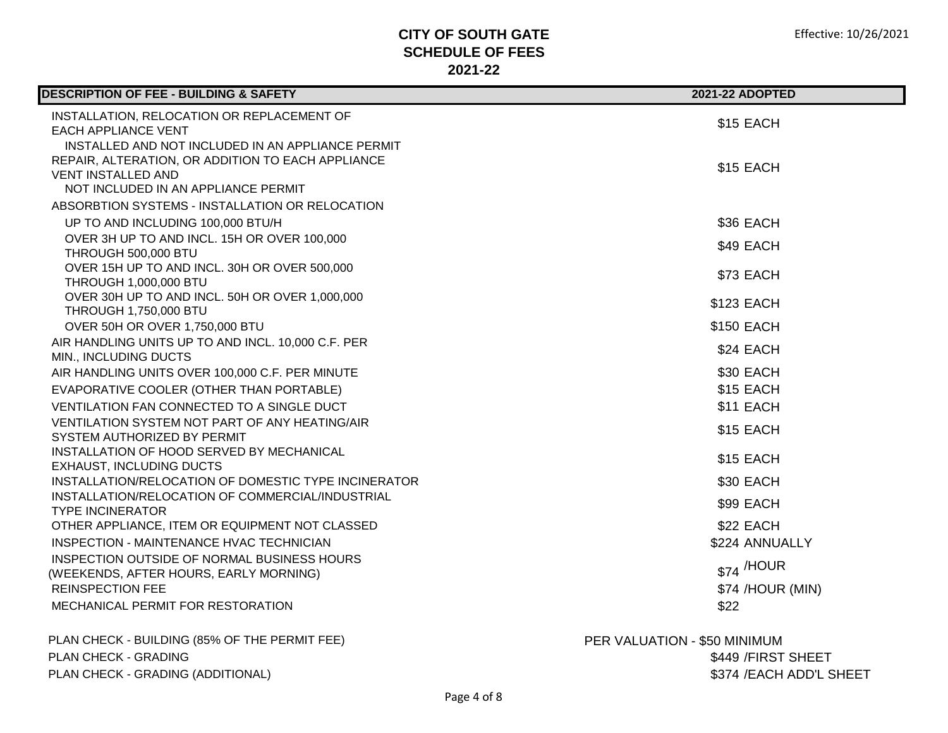| <b>DESCRIPTION OF FEE - BUILDING &amp; SAFETY</b>                                     | 2021-22 ADOPTED              |
|---------------------------------------------------------------------------------------|------------------------------|
| INSTALLATION, RELOCATION OR REPLACEMENT OF<br><b>EACH APPLIANCE VENT</b>              | \$15 EACH                    |
| INSTALLED AND NOT INCLUDED IN AN APPLIANCE PERMIT                                     |                              |
| REPAIR, ALTERATION, OR ADDITION TO EACH APPLIANCE<br>VENT INSTALLED AND               | <b>\$15 EACH</b>             |
| NOT INCLUDED IN AN APPLIANCE PERMIT                                                   |                              |
| ABSORBTION SYSTEMS - INSTALLATION OR RELOCATION                                       |                              |
| UP TO AND INCLUDING 100,000 BTU/H                                                     | \$36 EACH                    |
| OVER 3H UP TO AND INCL. 15H OR OVER 100,000                                           | \$49 EACH                    |
| THROUGH 500,000 BTU<br>OVER 15H UP TO AND INCL. 30H OR OVER 500,000                   |                              |
| <b>THROUGH 1,000,000 BTU</b>                                                          | \$73 EACH                    |
| OVER 30H UP TO AND INCL. 50H OR OVER 1,000,000                                        | \$123 EACH                   |
| <b>THROUGH 1,750,000 BTU</b>                                                          |                              |
| OVER 50H OR OVER 1,750,000 BTU                                                        | <b>\$150 EACH</b>            |
| AIR HANDLING UNITS UP TO AND INCL. 10,000 C.F. PER<br>MIN., INCLUDING DUCTS           | \$24 EACH                    |
| AIR HANDLING UNITS OVER 100,000 C.F. PER MINUTE                                       | <b>\$30 EACH</b>             |
| EVAPORATIVE COOLER (OTHER THAN PORTABLE)                                              | \$15 EACH                    |
| VENTILATION FAN CONNECTED TO A SINGLE DUCT                                            | \$11 EACH                    |
| VENTILATION SYSTEM NOT PART OF ANY HEATING/AIR                                        | \$15 EACH                    |
| SYSTEM AUTHORIZED BY PERMIT                                                           |                              |
| INSTALLATION OF HOOD SERVED BY MECHANICAL<br><b>EXHAUST, INCLUDING DUCTS</b>          | \$15 EACH                    |
| INSTALLATION/RELOCATION OF DOMESTIC TYPE INCINERATOR                                  | \$30 EACH                    |
| INSTALLATION/RELOCATION OF COMMERCIAL/INDUSTRIAL                                      | <b>\$99 EACH</b>             |
| <b>TYPE INCINERATOR</b>                                                               |                              |
| OTHER APPLIANCE, ITEM OR EQUIPMENT NOT CLASSED                                        | \$22 EACH                    |
| INSPECTION - MAINTENANCE HVAC TECHNICIAN                                              | \$224 ANNUALLY               |
| INSPECTION OUTSIDE OF NORMAL BUSINESS HOURS<br>(WEEKENDS, AFTER HOURS, EARLY MORNING) | $$74$ /HOUR                  |
| <b>REINSPECTION FEE</b>                                                               | \$74 /HOUR (MIN)             |
| MECHANICAL PERMIT FOR RESTORATION                                                     | \$22                         |
| PLAN CHECK - BUILDING (85% OF THE PERMIT FEE)                                         | PER VALUATION - \$50 MINIMUM |
| PLAN CHECK - GRADING                                                                  | \$449 / FIRST SHEET          |
| PLAN CHECK - GRADING (ADDITIONAL)                                                     | \$374 / EACH ADD'L SHEET     |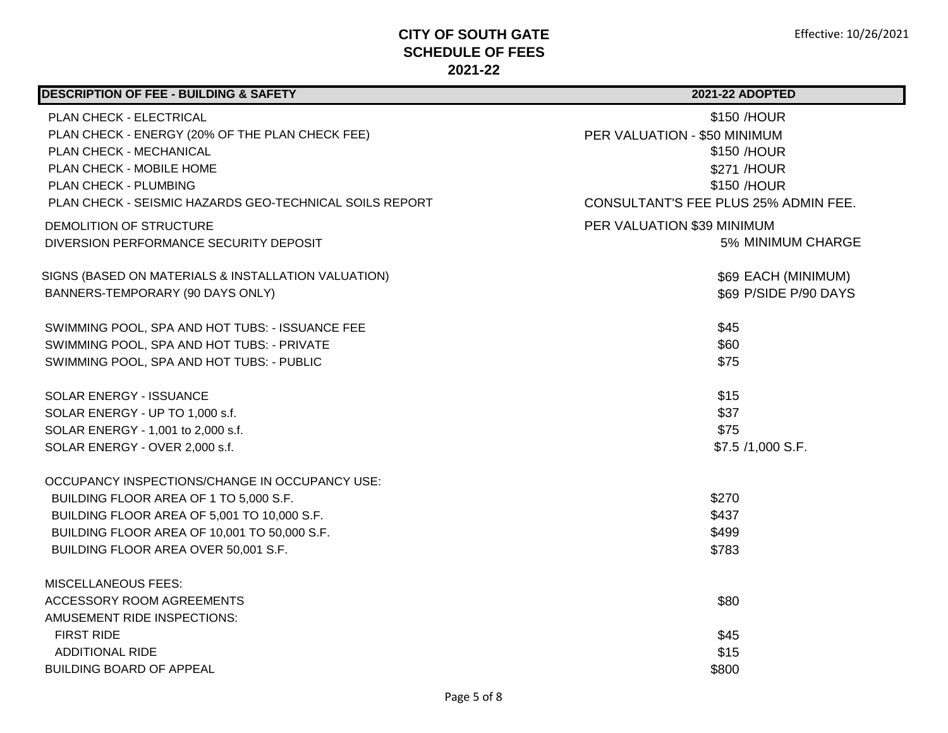| <b>DESCRIPTION OF FEE - BUILDING &amp; SAFETY</b>                          | <b>2021-22 ADOPTED</b>                      |
|----------------------------------------------------------------------------|---------------------------------------------|
| PLAN CHECK - ELECTRICAL<br>PLAN CHECK - ENERGY (20% OF THE PLAN CHECK FEE) | \$150 /HOUR<br>PER VALUATION - \$50 MINIMUM |
| PLAN CHECK - MECHANICAL                                                    | \$150 /HOUR                                 |
| PLAN CHECK - MOBILE HOME                                                   | \$271 /HOUR                                 |
| PLAN CHECK - PLUMBING                                                      | \$150 /HOUR                                 |
| PLAN CHECK - SEISMIC HAZARDS GEO-TECHNICAL SOILS REPORT                    | CONSULTANT'S FEE PLUS 25% ADMIN FEE.        |
| DEMOLITION OF STRUCTURE                                                    | PER VALUATION \$39 MINIMUM                  |
| DIVERSION PERFORMANCE SECURITY DEPOSIT                                     | 5% MINIMUM CHARGE                           |
| SIGNS (BASED ON MATERIALS & INSTALLATION VALUATION)                        | \$69 EACH (MINIMUM)                         |
| BANNERS-TEMPORARY (90 DAYS ONLY)                                           | \$69 P/SIDE P/90 DAYS                       |
| SWIMMING POOL, SPA AND HOT TUBS: - ISSUANCE FEE                            | \$45                                        |
| SWIMMING POOL, SPA AND HOT TUBS: - PRIVATE                                 | \$60                                        |
| SWIMMING POOL, SPA AND HOT TUBS: - PUBLIC                                  | \$75                                        |
| SOLAR ENERGY - ISSUANCE                                                    | \$15                                        |
| SOLAR ENERGY - UP TO 1,000 s.f.                                            | \$37                                        |
| SOLAR ENERGY - 1,001 to 2,000 s.f.                                         | \$75                                        |
| SOLAR ENERGY - OVER 2,000 s.f.                                             | \$7.5 /1,000 S.F.                           |
| OCCUPANCY INSPECTIONS/CHANGE IN OCCUPANCY USE:                             |                                             |
| BUILDING FLOOR AREA OF 1 TO 5,000 S.F.                                     | \$270                                       |
| BUILDING FLOOR AREA OF 5,001 TO 10,000 S.F.                                | \$437                                       |
| BUILDING FLOOR AREA OF 10,001 TO 50,000 S.F.                               | \$499                                       |
| BUILDING FLOOR AREA OVER 50,001 S.F.                                       | \$783                                       |
| <b>MISCELLANEOUS FEES:</b>                                                 |                                             |
| ACCESSORY ROOM AGREEMENTS                                                  | \$80                                        |
| AMUSEMENT RIDE INSPECTIONS:                                                |                                             |
| <b>FIRST RIDE</b>                                                          | \$45                                        |
| <b>ADDITIONAL RIDE</b>                                                     | \$15                                        |
| <b>BUILDING BOARD OF APPEAL</b>                                            | \$800                                       |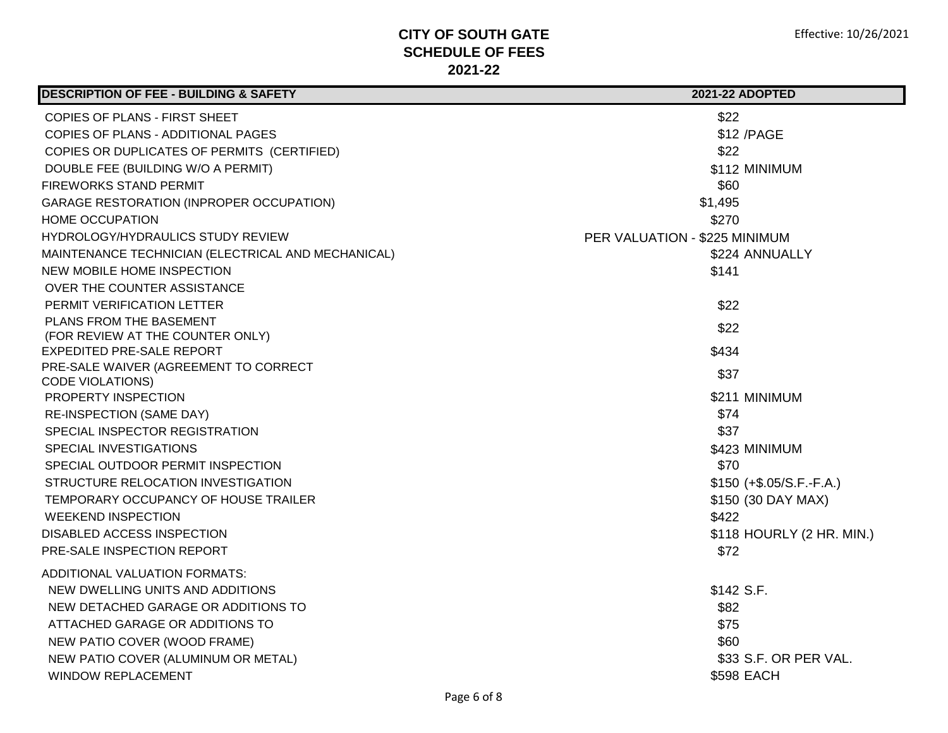| <b>DESCRIPTION OF FEE - BUILDING &amp; SAFETY</b>  | <b>2021-22 ADOPTED</b>        |
|----------------------------------------------------|-------------------------------|
| COPIES OF PLANS - FIRST SHEET                      | \$22                          |
| COPIES OF PLANS - ADDITIONAL PAGES                 | \$12 / PAGE                   |
| COPIES OR DUPLICATES OF PERMITS (CERTIFIED)        | \$22                          |
| DOUBLE FEE (BUILDING W/O A PERMIT)                 | \$112 MINIMUM                 |
| <b>FIREWORKS STAND PERMIT</b>                      | \$60                          |
| <b>GARAGE RESTORATION (INPROPER OCCUPATION)</b>    | \$1,495                       |
| <b>HOME OCCUPATION</b>                             | \$270                         |
| HYDROLOGY/HYDRAULICS STUDY REVIEW                  | PER VALUATION - \$225 MINIMUM |
| MAINTENANCE TECHNICIAN (ELECTRICAL AND MECHANICAL) | \$224 ANNUALLY                |
| NEW MOBILE HOME INSPECTION                         | \$141                         |
| OVER THE COUNTER ASSISTANCE                        |                               |
| <b>PERMIT VERIFICATION LETTER</b>                  | \$22                          |
| PLANS FROM THE BASEMENT                            |                               |
| (FOR REVIEW AT THE COUNTER ONLY)                   | \$22                          |
| EXPEDITED PRE-SALE REPORT                          | \$434                         |
| PRE-SALE WAIVER (AGREEMENT TO CORRECT              | \$37                          |
| <b>CODE VIOLATIONS)</b>                            |                               |
| PROPERTY INSPECTION                                | \$211 MINIMUM                 |
| <b>RE-INSPECTION (SAME DAY)</b>                    | \$74                          |
| SPECIAL INSPECTOR REGISTRATION                     | \$37                          |
| SPECIAL INVESTIGATIONS                             | \$423 MINIMUM                 |
| SPECIAL OUTDOOR PERMIT INSPECTION                  | \$70                          |
| STRUCTURE RELOCATION INVESTIGATION                 | $$150 (+$.05/S.F.-F.A.)$      |
| TEMPORARY OCCUPANCY OF HOUSE TRAILER               | \$150 (30 DAY MAX)            |
| <b>WEEKEND INSPECTION</b>                          | \$422                         |
| <b>DISABLED ACCESS INSPECTION</b>                  | \$118 HOURLY (2 HR. MIN.)     |
| PRE-SALE INSPECTION REPORT                         | \$72                          |
| ADDITIONAL VALUATION FORMATS:                      |                               |
| NEW DWELLING UNITS AND ADDITIONS                   | \$142 S.F.                    |
| NEW DETACHED GARAGE OR ADDITIONS TO                | \$82                          |
| ATTACHED GARAGE OR ADDITIONS TO                    | \$75                          |
| NEW PATIO COVER (WOOD FRAME)                       | \$60                          |
| NEW PATIO COVER (ALUMINUM OR METAL)                | \$33 S.F. OR PER VAL.         |
| <b>WINDOW REPLACEMENT</b>                          | \$598 EACH                    |
|                                                    |                               |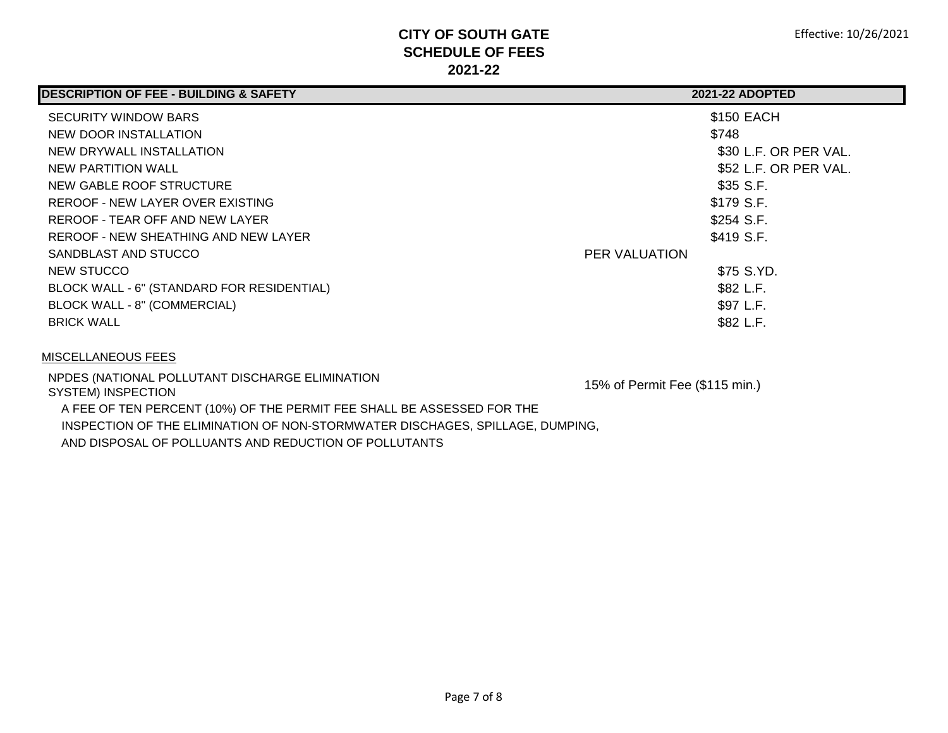| <b>DESCRIPTION OF FEE - BUILDING &amp; SAFETY</b> | <b>2021-22 ADOPTED</b>           |
|---------------------------------------------------|----------------------------------|
| <b>SECURITY WINDOW BARS</b>                       | \$150 EACH                       |
| NEW DOOR INSTALLATION                             | \$748                            |
| NEW DRYWALL INSTALLATION                          | \$30 L.F. OR PER VAL.            |
| NEW PARTITION WALL                                | \$52 L.F. OR PER VAL.            |
| NEW GABLE ROOF STRUCTURE                          | \$35 S.F.                        |
| REROOF - NEW LAYER OVER EXISTING                  | \$179 S.F.                       |
| REROOF - TEAR OFF AND NEW LAYER                   | \$254 S.F.                       |
| REROOF - NEW SHEATHING AND NEW LAYER              | \$419 S.F.                       |
| SANDBLAST AND STUCCO                              | <b>PER VALUATION</b>             |
| NEW STUCCO                                        | \$75 S.YD.                       |
| BLOCK WALL - 6" (STANDARD FOR RESIDENTIAL)        | \$82 L.F.                        |
| BLOCK WALL - 8" (COMMERCIAL)                      | \$97 L.F.                        |
| <b>BRICK WALL</b>                                 | \$82 L.F.                        |
| MISCELLANEOUS FEES                                |                                  |
| NPDES (NATIONAL POLLUTANT DISCHARGE ELIMINATION   | $15\%$ of Parmit Eag (\$115 min) |

SYSTEM) INSPECTION **15% of Permit Fee (\$115 min.)**  A FEE OF TEN PERCENT (10%) OF THE PERMIT FEE SHALL BE ASSESSED FOR THE INSPECTION OF THE ELIMINATION OF NON-STORMWATER DISCHAGES, SPILLAGE, DUMPING, AND DISPOSAL OF POLLUANTS AND REDUCTION OF POLLUTANTS